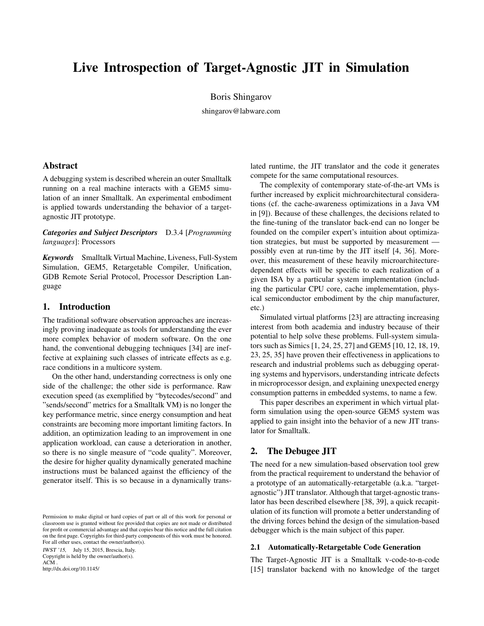# Live Introspection of Target-Agnostic JIT in Simulation

Boris Shingarov

shingarov@labware.com

# Abstract

A debugging system is described wherein an outer Smalltalk running on a real machine interacts with a GEM5 simulation of an inner Smalltalk. An experimental embodiment is applied towards understanding the behavior of a targetagnostic JIT prototype.

*Categories and Subject Descriptors* D.3.4 [*Programming languages*]: Processors

*Keywords* Smalltalk Virtual Machine, Liveness, Full-System Simulation, GEM5, Retargetable Compiler, Unification, GDB Remote Serial Protocol, Processor Description Language

# 1. Introduction

The traditional software observation approaches are increasingly proving inadequate as tools for understanding the ever more complex behavior of modern software. On the one hand, the conventional debugging techniques [34] are ineffective at explaining such classes of intricate effects as e.g. race conditions in a multicore system.

On the other hand, understanding correctness is only one side of the challenge; the other side is performance. Raw execution speed (as exemplified by "bytecodes/second" and "sends/second" metrics for a Smalltalk VM) is no longer the key performance metric, since energy consumption and heat constraints are becoming more important limiting factors. In addition, an optimization leading to an improvement in one application workload, can cause a deterioration in another, so there is no single measure of "code quality". Moreover, the desire for higher quality dynamically generated machine instructions must be balanced against the efficiency of the generator itself. This is so because in a dynamically trans-

IWST '15, July 15, 2015, Brescia, Italy. Copyright is held by the owner/author(s). ACM . http://dx.doi.org/10.1145/

lated runtime, the JIT translator and the code it generates compete for the same computational resources.

The complexity of contemporary state-of-the-art VMs is further increased by explicit michroarchitectural considerations (cf. the cache-awareness optimizations in a Java VM in [9]). Because of these challenges, the decisions related to the fine-tuning of the translator back-end can no longer be founded on the compiler expert's intuition about optimization strategies, but must be supported by measurement possibly even at run-time by the JIT itself [4, 36]. Moreover, this measurement of these heavily microarchitecturedependent effects will be specific to each realization of a given ISA by a particular system implementation (including the particular CPU core, cache implememtation, physical semiconductor embodiment by the chip manufacturer, etc.)

Simulated virtual platforms [23] are attracting increasing interest from both academia and industry because of their potential to help solve these problems. Full-system simulators such as Simics [1, 24, 25, 27] and GEM5 [10, 12, 18, 19, 23, 25, 35] have proven their effectiveness in applications to research and industrial problems such as debugging operating systems and hypervisors, understanding intricate defects in microprocessor design, and explaining unexpected energy consumption patterns in embedded systems, to name a few.

This paper describes an experiment in which virtual platform simulation using the open-source GEM5 system was applied to gain insight into the behavior of a new JIT translator for Smalltalk.

# 2. The Debugee JIT

The need for a new simulation-based observation tool grew from the practical requirement to understand the behavior of a prototype of an automatically-retargetable (a.k.a. "targetagnostic") JIT translator. Although that target-agnostic translator has been described elsewhere [38, 39], a quick recapitulation of its function will promote a better understanding of the driving forces behind the design of the simulation-based debugger which is the main subject of this paper.

## 2.1 Automatically-Retargetable Code Generation

The Target-Agnostic JIT is a Smalltalk v-code-to-n-code [15] translator backend with no knowledge of the target

Permission to make digital or hard copies of part or all of this work for personal or classroom use is granted without fee provided that copies are not made or distributed for profit or commercial advantage and that copies bear this notice and the full citation on the first page. Copyrights for third-party components of this work must be honored. For all other uses, contact the owner/author(s).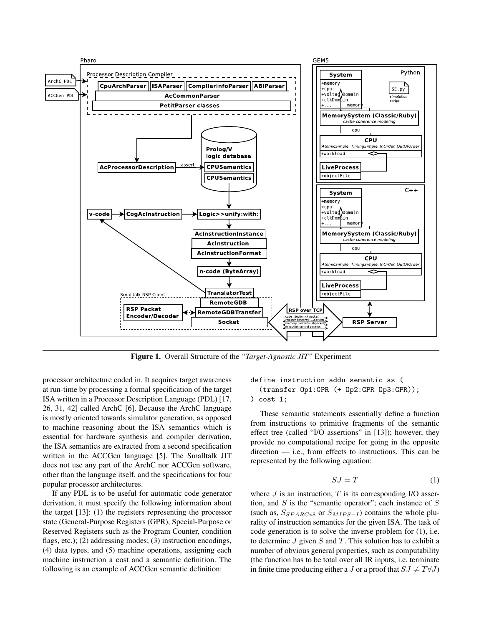

Figure 1. Overall Structure of the *"Target-Agnostic JIT"* Experiment

processor architecture coded in. It acquires target awareness at run-time by processing a formal specification of the target ISA written in a Processor Description Language (PDL) [17, 26, 31, 42] called ArchC [6]. Because the ArchC language is mostly oriented towards simulator generation, as opposed to machine reasoning about the ISA semantics which is essential for hardware synthesis and compiler derivation, the ISA semantics are extracted from a second specification written in the ACCGen language [5]. The Smalltalk JIT does not use any part of the ArchC nor ACCGen software, other than the language itself, and the specifications for four popular processor architectures.

If any PDL is to be useful for automatic code generator derivation, it must specify the following information about the target [13]: (1) the registers representing the processor state (General-Purpose Registers (GPR), Special-Purpose or Reserved Registers such as the Program Counter, condition flags, etc.); (2) addressing modes; (3) instruction encodings, (4) data types, and (5) machine operations, assigning each machine instruction a cost and a semantic definition. The following is an example of ACCGen semantic definition:

## define instruction addu semantic as ( (transfer Op1:GPR (+ Op2:GPR Op3:GPR)); ) cost 1;

These semantic statements essentially define a function from instructions to primitive fragments of the semantic effect tree (called "I/O assertions" in [13]); however, they provide no computational recipe for going in the opposite direction — i.e., from effects to instructions. This can be represented by the following equation:

$$
SJ = T \tag{1}
$$

where  $J$  is an instruction,  $T$  is its corresponding I/O assertion, and  $S$  is the "semantic operator"; each instance of  $S$ (such as,  $S_{SPARCv8}$  or  $S_{MIPS-I}$ ) contains the whole plurality of instruction semantics for the given ISA. The task of code generation is to solve the inverse problem for (1), i.e. to determine  $J$  given  $S$  and  $T$ . This solution has to exhibit a number of obvious general properties, such as computability (the function has to be total over all IR inputs, i.e. terminate in finite time producing either a J or a proof that  $SJ \neq T\forall J$ )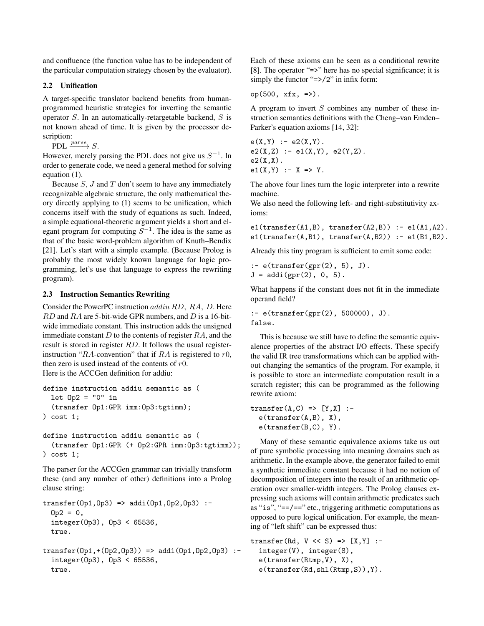and confluence (the function value has to be independent of the particular computation strategy chosen by the evaluator).

# 2.2 Unification

A target-specific translator backend benefits from humanprogrammed heuristic strategies for inverting the semantic operator  $S$ . In an automatically-retargetable backend,  $S$  is not known ahead of time. It is given by the processor description:

PDL  $\xrightarrow{parse} S$ .

However, merely parsing the PDL does not give us  $S^{-1}$ . In order to generate code, we need a general method for solving equation (1).

Because  $S$ ,  $J$  and  $T$  don't seem to have any immediately recognizable algebraic structure, the only mathematical theory directly applying to (1) seems to be unification, which concerns itself with the study of equations as such. Indeed, a simple equational-theoretic argument yields a short and elegant program for computing  $S^{-1}$ . The idea is the same as that of the basic word-problem algorithm of Knuth–Bendix [21]. Let's start with a simple example. (Because Prolog is probably the most widely known language for logic programming, let's use that language to express the rewriting program).

# 2.3 Instruction Semantics Rewriting

Consider the PowerPC instruction addiu RD, RA, D. Here RD and RA are 5-bit-wide GPR numbers, and D is a 16-bitwide immediate constant. This instruction adds the unsigned immediate constant  $D$  to the contents of register  $RA$ , and the result is stored in register RD. It follows the usual registerinstruction "RA-convention" that if RA is registered to  $r0$ , then zero is used instead of the contents of  $r0$ . Here is the ACCGen definition for addiu:

```
define instruction addiu semantic as (
 let 0p2 = "0" in
  (transfer Op1:GPR imm:Op3:tgtimm);
) cost 1;
```

```
define instruction addiu semantic as (
  (transfer Op1:GPR (+ Op2:GPR imm:Op3:tgtimm));
) cost 1;
```
The parser for the ACCGen grammar can trivially transform these (and any number of other) definitions into a Prolog clause string:

```
transfer(Op1,Op3) => addi(Op1,Op2,Op3) :-
  0p2 = 0,
  integer(Op3), Op3 < 65536,
  true.
```

```
transfer(0p1, +(0p2,0p3)) => addi(0p1,0p2,0p3) :-
  integer(Op3), Op3 < 65536,
  true.
```
Each of these axioms can be seen as a conditional rewrite [8]. The operator "=>" here has no special significance; it is simply the functor " $\Rightarrow$  /2" in infix form:

$$
op(500, xfx, \Rightarrow).
$$

A program to invert  $S$  combines any number of these instruction semantics definitions with the Cheng–van Emden– Parker's equation axioms [14, 32]:

```
e(X,Y) := e2(X,Y).
e2(X,Z) := e1(X,Y), e2(Y,Z).e2(X,X).
e1(X,Y) :- X \Rightarrow Y.
```
The above four lines turn the logic interpreter into a rewrite machine.

We also need the following left- and right-substitutivity axioms:

```
e1(transfer(A1,B), transfer(A2,B)) := e1(A1,A2).e1(transfer(A,B1), transfer(A,B2)) :- e1(B1,B2).
```
Already this tiny program is sufficient to emit some code:

```
:- e(transfer(gpr(2), 5), J).
J = addi(gpr(2), 0, 5).
```
What happens if the constant does not fit in the immediate operand field?

:- e(transfer(gpr(2), 500000), J). false.

This is because we still have to define the semantic equivalence properties of the abstract I/O effects. These specify the valid IR tree transformations which can be applied without changing the semantics of the program. For example, it is possible to store an intermediate computation result in a scratch register; this can be programmed as the following rewrite axiom:

```
transfer(A, C) \implies [Y, X] :-
  e(transfer(A,B), X),
  e(transfer(B,C), Y).
```
Many of these semantic equivalence axioms take us out of pure symbolic processing into meaning domains such as arithmetic. In the example above, the generator failed to emit a synthetic immediate constant because it had no notion of decomposition of integers into the result of an arithmetic operation over smaller-width integers. The Prolog clauses expressing such axioms will contain arithmetic predicates such as "is", "==/==" etc., triggering arithmetic computations as opposed to pure logical unification. For example, the meaning of "left shift" can be expressed thus:

```
transfer(Rd, V \ll S) => [X, Y] :-
  integer(V), integer(S),
  e(transfer(Rtmp,V), X),
  e(transfer(Rd,shl(Rtmp,S)),Y).
```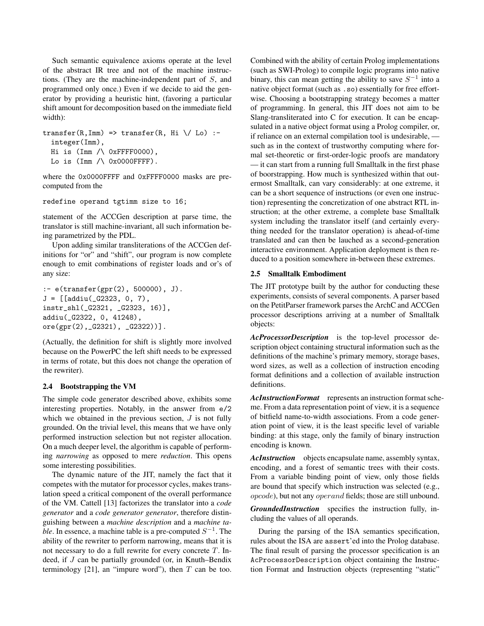Such semantic equivalence axioms operate at the level of the abstract IR tree and not of the machine instructions. (They are the machine-independent part of S, and programmed only once.) Even if we decide to aid the generator by providing a heuristic hint, (favoring a particular shift amount for decomposition based on the immediate field width):

```
transfer(R,Imm) \implies transfer(R, Hi \ \mid \ \sim \ Lo) \:-
  integer(Imm),
  Hi is (Imm /\ 0xFFFF0000),
  Lo is (Imm / \N 0x0000FFFF).
```
where the 0x0000FFFF and 0xFFFF0000 masks are precomputed from the

```
redefine operand tgtimm size to 16;
```
statement of the ACCGen description at parse time, the translator is still machine-invariant, all such information being parametrized by the PDL.

Upon adding similar transliterations of the ACCGen definitions for "or" and "shift", our program is now complete enough to emit combinations of register loads and or's of any size:

```
:- e(transfer(gpr(2), 500000), J).
J = [[addiu(_G2323, 0, 7),
instr_shl(_G2321, _G2323, 16)],
addiu(_G2322, 0, 41248),
ore(gpr(2),_G2321), _G2322))].
```
(Actually, the definition for shift is slightly more involved because on the PowerPC the left shift needs to be expressed in terms of rotate, but this does not change the operation of the rewriter).

#### 2.4 Bootstrapping the VM

The simple code generator described above, exhibits some interesting properties. Notably, in the answer from e/2 which we obtained in the previous section,  $J$  is not fully grounded. On the trivial level, this means that we have only performed instruction selection but not register allocation. On a much deeper level, the algorithm is capable of performing *narrowing* as opposed to mere *reduction*. This opens some interesting possibilities.

The dynamic nature of the JIT, namely the fact that it competes with the mutator for processor cycles, makes translation speed a critical component of the overall performance of the VM. Cattell [13] factorizes the translator into a *code generator* and a *code generator generator*, therefore distinguishing between a *machine description* and a *machine table*. In essence, a machine table is a pre-computed  $S^{-1}$ . The ability of the rewriter to perform narrowing, means that it is not necessary to do a full rewrite for every concrete T. Indeed, if J can be partially grounded (or, in Knuth–Bendix terminology [21], an "impure word"), then  $T$  can be too.

Combined with the ability of certain Prolog implementations (such as SWI-Prolog) to compile logic programs into native binary, this can mean getting the ability to save  $S^{-1}$  into a native object format (such as .so) essentially for free effortwise. Choosing a bootstrapping strategy becomes a matter of programming. In general, this JIT does not aim to be Slang-transliterated into C for execution. It can be encapsulated in a native object format using a Prolog compiler, or, if reliance on an external compilation tool is undesirable, such as in the context of trustworthy computing where formal set-theoretic or first-order-logic proofs are mandatory — it can start from a running full Smalltalk in the first phase of boorstrapping. How much is synthesized within that outermost Smalltalk, can vary considerably: at one extreme, it can be a short sequence of instructions (or even one instruction) representing the concretization of one abstract RTL instruction; at the other extreme, a complete base Smalltalk system including the translator itself (and certainly everything needed for the translator operation) is ahead-of-time translated and can then be lauched as a second-generation interactive environment. Application deployment is then reduced to a position somewhere in-between these extremes.

#### 2.5 Smalltalk Embodiment

The JIT prototype built by the author for conducting these experiments, consists of several components. A parser based on the PetitParser framework parses the ArchC and ACCGen processor descriptions arriving at a number of Smalltalk objects:

*AcProcessorDescription* is the top-level processor description object containing structural information such as the definitions of the machine's primary memory, storage bases, word sizes, as well as a collection of instruction encoding format definitions and a collection of available instruction definitions.

*AcInstructionFormat* represents an instruction format scheme. From a data representation point of view, it is a sequence of bitfield name-to-width associations. From a code generation point of view, it is the least specific level of variable binding: at this stage, only the family of binary instruction encoding is known.

*AcInstruction* objects encapsulate name, assembly syntax, encoding, and a forest of semantic trees with their costs. From a variable binding point of view, only those fields are bound that specify which instruction was selected (e.g., opcode), but not any operand fields; those are still unbound.

*GroundedInstruction* specifies the instruction fully, including the values of all operands.

During the parsing of the ISA semantics specification, rules about the ISA are assert'ed into the Prolog database. The final result of parsing the processor specification is an AcProcessorDescription object containing the Instruction Format and Instruction objects (representing "static"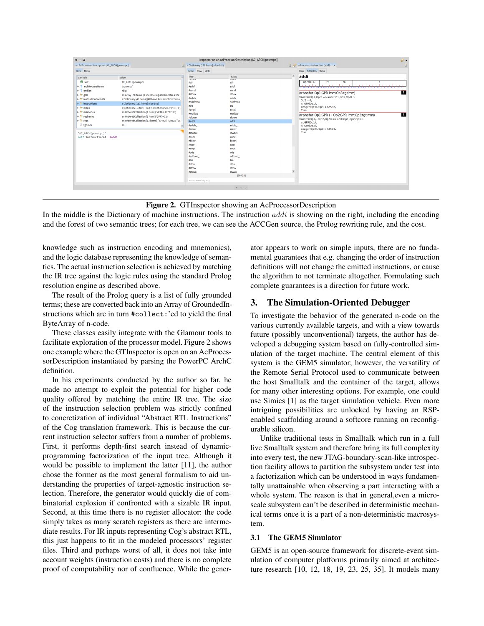

Figure 2. GTInspector showing an AcProcessorDescription

In the middle is the Dictionary of machine instructions. The instruction  $addi$  is showing on the right, including the encoding and the forest of two semantic trees; for each tree, we can see the ACCGen source, the Prolog rewriting rule, and the cost.

knowledge such as instruction encoding and mnemonics), and the logic database representing the knowledge of semantics. The actual instruction selection is achieved by matching the IR tree against the logic rules using the standard Prolog resolution engine as described above.

The result of the Prolog query is a list of fully grounded terms; these are converted back into an Array of GroundedInstructions which are in turn #collect:'ed to yield the final ByteArray of n-code.

These classes easily integrate with the Glamour tools to facilitate exploration of the processor model. Figure 2 shows one example where the GTInspector is open on an AcProcessorDescription instantiated by parsing the PowerPC ArchC definition.

In his experiments conducted by the author so far, he made no attempt to exploit the potential for higher code quality offered by matching the entire IR tree. The size of the instruction selection problem was strictly confined to concretization of individual "Abstract RTL Instructions" of the Cog translation framework. This is because the current instruction selector suffers from a number of problems. First, it performs depth-first search instead of dynamicprogramming factorization of the input tree. Although it would be possible to implement the latter [11], the author chose the former as the most general formalism to aid understanding the properties of target-agnostic instruction selection. Therefore, the generator would quickly die of combinatorial explosion if confronted with a sizable IR input. Second, at this time there is no register allocator: the code simply takes as many scratch registers as there are intermediate results. For IR inputs representing Cog's abstract RTL, this just happens to fit in the modeled processors' register files. Third and perhaps worst of all, it does not take into account weights (instruction costs) and there is no complete proof of computability nor of confluence. While the generator appears to work on simple inputs, there are no fundamental guarantees that e.g. changing the order of instruction definitions will not change the emitted instructions, or cause the algorithm to not terminate altogether. Formulating such complete guarantees is a direction for future work.

# 3. The Simulation-Oriented Debugger

To investigate the behavior of the generated n-code on the various currently available targets, and with a view towards future (possibly unconventional) targets, the author has developed a debugging system based on fully-controlled simulation of the target machine. The central element of this system is the GEM5 simulator; however, the versatility of the Remote Serial Protocol used to communicate between the host Smalltalk and the container of the target, allows for many other interesting options. For example, one could use Simics [1] as the target simulation vehicle. Even more intriguing possibilities are unlocked by having an RSPenabled scaffolding around a softcore running on reconfigurable silicon.

Unlike traditional tests in Smalltalk which run in a full live Smalltalk system and therefore bring its full complexity into every test, the new JTAG-boundary-scan-like introspection facility allows to partition the subsystem under test into a factorization which can be understood in ways fundamentally unattainable when observing a part interacting with a whole system. The reason is that in general,even a microscale subsystem can't be described in deterministic mechanical terms once it is a part of a non-deterministic macrosystem.

# 3.1 The GEM5 Simulator

GEM5 is an open-source framework for discrete-event simulation of computer platforms primarily aimed at architecture research [10, 12, 18, 19, 23, 25, 35]. It models many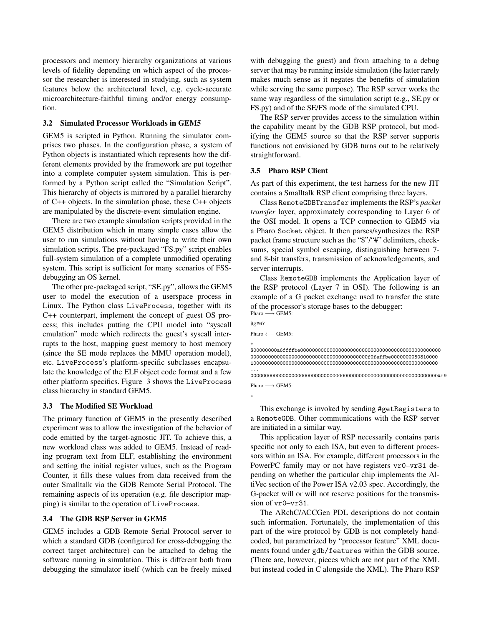processors and memory hierarchy organizations at various levels of fidelity depending on which aspect of the processor the researcher is interested in studying, such as system features below the architectural level, e.g. cycle-accurate microarchitecture-faithful timing and/or energy consumption.

#### 3.2 Simulated Processor Workloads in GEM5

GEM5 is scripted in Python. Running the simulator comprises two phases. In the configuration phase, a system of Python objects is instantiated which represents how the different elements provided by the framework are put together into a complete computer system simulation. This is performed by a Python script called the "Simulation Script". This hierarchy of objects is mirrored by a parallel hierarchy of C++ objects. In the simulation phase, these C++ objects are manipulated by the discrete-event simulation engine.

There are two example simulation scripts provided in the GEM5 distribution which in many simple cases allow the user to run simulations without having to write their own simulation scripts. The pre-packaged "FS.py" script enables full-system simulation of a complete unmodified operating system. This script is sufficient for many scenarios of FSSdebugging an OS kernel.

The other pre-packaged script, "SE.py", allows the GEM5 user to model the execution of a userspace process in Linux. The Python class LiveProcess, together with its C++ counterpart, implement the concept of guest OS process; this includes putting the CPU model into "syscall emulation" mode which redirects the guest's syscall interrupts to the host, mapping guest memory to host memory (since the SE mode replaces the MMU operation model), etc. LiveProcess's platform-specific subclasses encapsulate the knowledge of the ELF object code format and a few other platform specifics. Figure 3 shows the LiveProcess class hierarchy in standard GEM5.

#### 3.3 The Modified SE Workload

The primary function of GEM5 in the presently described experiment was to allow the investigation of the behavior of code emitted by the target-agnostic JIT. To achieve this, a new workload class was added to GEM5. Instead of reading program text from ELF, establishing the environment and setting the initial register values, such as the Program Counter, it fills these values from data received from the outer Smalltalk via the GDB Remote Serial Protocol. The remaining aspects of its operation (e.g. file descriptor mapping) is similar to the operation of LiveProcess.

## 3.4 The GDB RSP Server in GEM5

GEM5 includes a GDB Remote Serial Protocol server to which a standard GDB (configured for cross-debugging the correct target architecture) can be attached to debug the software running in simulation. This is different both from debugging the simulator itself (which can be freely mixed

with debugging the guest) and from attaching to a debug server that may be running inside simulation (the latter rarely makes much sense as it negates the benefits of simulation while serving the same purpose). The RSP server works the same way regardless of the simulation script (e.g., SE.py or FS.py) and of the SE/FS mode of the simulated CPU.

The RSP server provides access to the simulation within the capability meant by the GDB RSP protocol, but modifying the GEM5 source so that the RSP server supports functions not envisioned by GDB turns out to be relatively straightforward.

#### 3.5 Pharo RSP Client

As part of this experiment, the test harness for the new JIT contains a Smalltalk RSP client comprising three layers.

Class RemoteGDBTransfer implements the RSP's *packet transfer* layer, approximately corresponding to Layer 6 of the OSI model. It opens a TCP connection to GEM5 via a Pharo Socket object. It then parses/synthesizes the RSP packet frame structure such as the "\$"/"#" delimiters, checksums, special symbol escaping, distinguishing between 7 and 8-bit transfers, transmission of acknowledgements, and server interrupts.

Class RemoteGDB implements the Application layer of the RSP protocol (Layer 7 in OSI). The following is an example of a G packet exchange used to transfer the state of the processor's storage bases to the debugger: Pharo → GEM5:

\$g#67 Pharo ← GEM5:

+ \$00000000a6ffffbe000000000000000000000000000000000000000000000000 0000000000000000000000000000000000000000f0feffbe0000000050810000 1000000000000000000000000000000000000000000000000000000000000000

... 0000000000000000000000000000000000000000000000000000000000000000#f9 Pharo  $→$  GEM5:

+

This exchange is invoked by sending #getRegisters to a RemoteGDB. Other communications with the RSP server are initiated in a similar way.

This application layer of RSP necessarily contains parts specific not only to each ISA, but even to different processors within an ISA. For example, different processors in the PowerPC family may or not have registers vr0–vr31 depending on whether the particular chip implements the AltiVec section of the Power ISA v2.03 spec. Accordingly, the G-packet will or will not reserve positions for the transmission of vr0–vr31.

The ARchC/ACCGen PDL descriptions do not contain such information. Fortunately, the implementation of this part of the wire protocol by GDB is not completely handcoded, but parametrized by "processor feature" XML documents found under gdb/features within the GDB source. (There are, however, pieces which are not part of the XML but instead coded in C alongside the XML). The Pharo RSP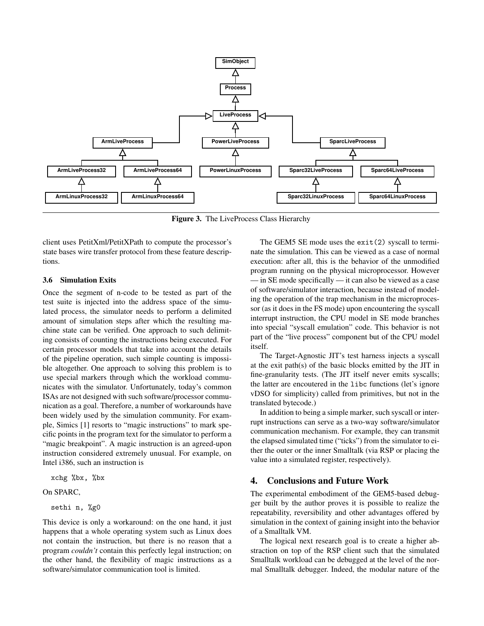

Figure 3. The LiveProcess Class Hierarchy

client uses PetitXml/PetitXPath to compute the processor's state bases wire transfer protocol from these feature descriptions.

#### 3.6 Simulation Exits

Once the segment of n-code to be tested as part of the test suite is injected into the address space of the simulated process, the simulator needs to perform a delimited amount of simulation steps after which the resulting machine state can be verified. One approach to such delimiting consists of counting the instructions being executed. For certain processor models that take into account the details of the pipeline operation, such simple counting is impossible altogether. One approach to solving this problem is to use special markers through which the workload communicates with the simulator. Unfortunately, today's common ISAs are not designed with such software/processor communication as a goal. Therefore, a number of workarounds have been widely used by the simulation community. For example, Simics [1] resorts to "magic instructions" to mark specific points in the program text for the simulator to perform a "magic breakpoint". A magic instruction is an agreed-upon instruction considered extremely unusual. For example, on Intel i386, such an instruction is

xchg %bx, %bx

#### On SPARC,

## sethi n, %g0

This device is only a workaround: on the one hand, it just happens that a whole operating system such as Linux does not contain the instruction, but there is no reason that a program *couldn't* contain this perfectly legal instruction; on the other hand, the flexibility of magic instructions as a software/simulator communication tool is limited.

The GEM5 SE mode uses the exit(2) syscall to terminate the simulation. This can be viewed as a case of normal execution: after all, this is the behavior of the unmodified program running on the physical microprocessor. However — in SE mode specifically — it can also be viewed as a case of software/simulator interaction, because instead of modeling the operation of the trap mechanism in the microprocessor (as it does in the FS mode) upon encountering the syscall interrupt instruction, the CPU model in SE mode branches into special "syscall emulation" code. This behavior is not part of the "live process" component but of the CPU model itself.

The Target-Agnostic JIT's test harness injects a syscall at the exit path(s) of the basic blocks emitted by the JIT in fine-granularity tests. (The JIT itself never emits syscalls; the latter are encoutered in the libc functions (let's ignore vDSO for simplicity) called from primitives, but not in the translated bytecode.)

In addition to being a simple marker, such syscall or interrupt instructions can serve as a two-way software/simulator communication mechanism. For example, they can transmit the elapsed simulated time ("ticks") from the simulator to either the outer or the inner Smalltalk (via RSP or placing the value into a simulated register, respectively).

# 4. Conclusions and Future Work

The experimental embodiment of the GEM5-based debugger built by the author proves it is possible to realize the repeatability, reversibility and other advantages offered by simulation in the context of gaining insight into the behavior of a Smalltalk VM.

The logical next research goal is to create a higher abstraction on top of the RSP client such that the simulated Smalltalk workload can be debugged at the level of the normal Smalltalk debugger. Indeed, the modular nature of the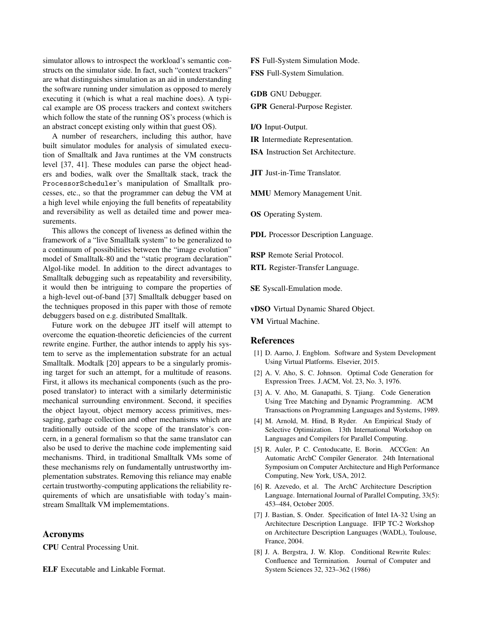simulator allows to introspect the workload's semantic constructs on the simulator side. In fact, such "context trackers" are what distinguishes simulation as an aid in understanding the software running under simulation as opposed to merely executing it (which is what a real machine does). A typical example are OS process trackers and context switchers which follow the state of the running OS's process (which is an abstract concept existing only within that guest OS).

A number of researchers, including this author, have built simulator modules for analysis of simulated execution of Smalltalk and Java runtimes at the VM constructs level [37, 41]. These modules can parse the object headers and bodies, walk over the Smalltalk stack, track the ProcessorScheduler's manipulation of Smalltalk processes, etc., so that the programmer can debug the VM at a high level while enjoying the full benefits of repeatability and reversibility as well as detailed time and power measurements.

This allows the concept of liveness as defined within the framework of a "live Smalltalk system" to be generalized to a continuum of possibilities between the "image evolution" model of Smalltalk-80 and the "static program declaration" Algol-like model. In addition to the direct advantages to Smalltalk debugging such as repeatability and reversibility, it would then be intriguing to compare the properties of a high-level out-of-band [37] Smalltalk debugger based on the techniques proposed in this paper with those of remote debuggers based on e.g. distributed Smalltalk.

Future work on the debugee JIT itself will attempt to overcome the equation-theoretic deficiencies of the current rewrite engine. Further, the author intends to apply his system to serve as the implementation substrate for an actual Smalltalk. Modtalk [20] appears to be a singularly promising target for such an attempt, for a multitude of reasons. First, it allows its mechanical components (such as the proposed translator) to interact with a similarly deterministic mechanical surrounding environment. Second, it specifies the object layout, object memory access primitives, messaging, garbage collection and other mechanisms which are traditionally outside of the scope of the translator's concern, in a general formalism so that the same translator can also be used to derive the machine code implementing said mechanisms. Third, in traditional Smalltalk VMs some of these mechanisms rely on fundamentally untrustworthy implementation substrates. Removing this reliance may enable certain trustworthy-computing applications the reliability requirements of which are unsatisfiable with today's mainstream Smalltalk VM implememtations.

# Acronyms

CPU Central Processing Unit.

ELF Executable and Linkable Format.

FS Full-System Simulation Mode. FSS Full-System Simulation.

GDB GNU Debugger. GPR General-Purpose Register.

I/O Input-Output.

IR Intermediate Representation.

ISA Instruction Set Architecture.

JIT Just-in-Time Translator.

MMU Memory Management Unit.

OS Operating System.

PDL Processor Description Language.

RSP Remote Serial Protocol.

RTL Register-Transfer Language.

SE Syscall-Emulation mode.

vDSO Virtual Dynamic Shared Object.

VM Virtual Machine.

#### **References**

- [1] D. Aarno, J. Engblom. Software and System Development Using Virtual Platforms. Elsevier, 2015.
- [2] A. V. Aho, S. C. Johnson. Optimal Code Generation for Expression Trees. J.ACM, Vol. 23, No. 3, 1976.
- [3] A. V. Aho, M. Ganapathi, S. Tjiang. Code Generation Using Tree Matching and Dynamic Programming. ACM Transactions on Programming Languages and Systems, 1989.
- [4] M. Arnold, M. Hind, B Ryder. An Empirical Study of Selective Optimization. 13th International Workshop on Languages and Compilers for Parallel Computing.
- [5] R. Auler, P. C. Centoducatte, E. Borin. ACCGen: An Automatic ArchC Compiler Generator. 24th International Symposium on Computer Architecture and High Performance Computing, New York, USA, 2012.
- [6] R. Azevedo, et al. The ArchC Architecture Description Language. International Journal of Parallel Computing, 33(5): 453–484, October 2005.
- [7] J. Bastian, S. Onder. Specification of Intel IA-32 Using an Architecture Description Language. IFIP TC-2 Workshop on Architecture Description Languages (WADL), Toulouse, France, 2004.
- [8] J. A. Bergstra, J. W. Klop. Conditional Rewrite Rules: Confluence and Termination. Journal of Computer and System Sciences 32, 323–362 (1986)